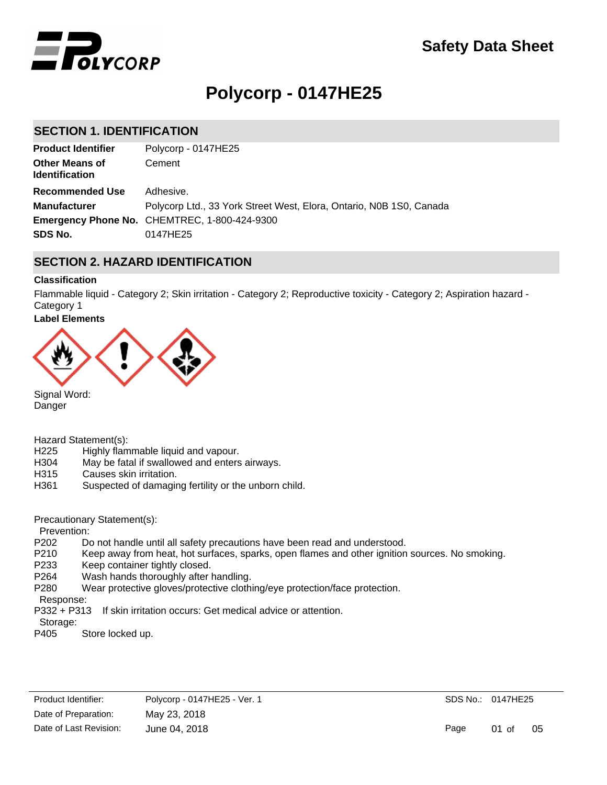

# **Polycorp - 0147HE25**

# **SECTION 1. IDENTIFICATION**

| <b>Product Identifier</b>        | Polycorp - 0147HE25                                                 |
|----------------------------------|---------------------------------------------------------------------|
| Other Means of<br>Identification | Cement                                                              |
| <b>Recommended Use</b>           | Adhesive.                                                           |
| <b>Manufacturer</b>              | Polycorp Ltd., 33 York Street West, Elora, Ontario, N0B 1S0, Canada |
|                                  | <b>Emergency Phone No. CHEMTREC, 1-800-424-9300</b>                 |
| SDS No.                          | 0147HE25                                                            |
|                                  |                                                                     |

# **SECTION 2. HAZARD IDENTIFICATION**

#### **Classification**

Flammable liquid - Category 2; Skin irritation - Category 2; Reproductive toxicity - Category 2; Aspiration hazard - Category 1

### **Label Elements**



Signal Word: Danger

Hazard Statement(s):

- H225 Highly flammable liquid and vapour.
- H304 May be fatal if swallowed and enters airways.
- H315 Causes skin irritation.
- H361 Suspected of damaging fertility or the unborn child.

Precautionary Statement(s):

Prevention:

- P202 Do not handle until all safety precautions have been read and understood.
- P210 Keep away from heat, hot surfaces, sparks, open flames and other ignition sources. No smoking.
- P233 Keep container tightly closed.
- P264 Wash hands thoroughly after handling.
- P280 Wear protective gloves/protective clothing/eye protection/face protection.

#### Response:

P332 + P313 If skin irritation occurs: Get medical advice or attention.

Storage:

P405 Store locked up.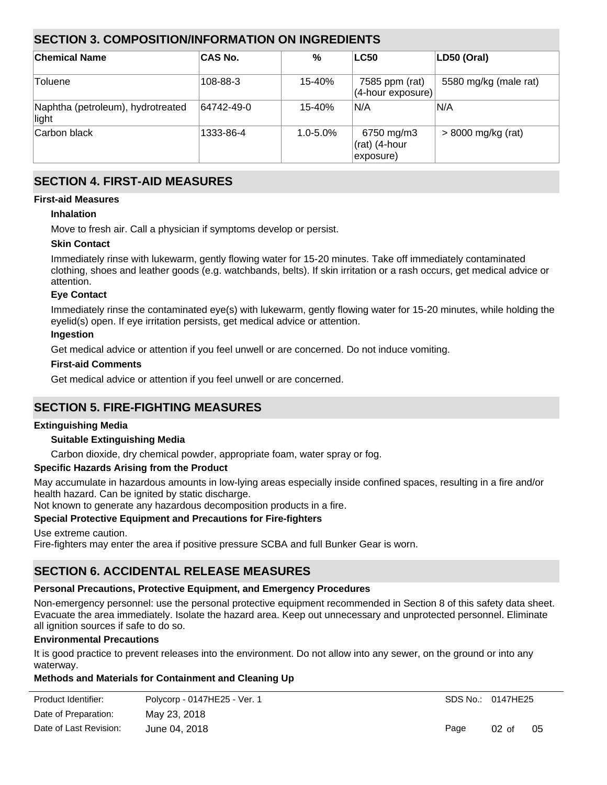# **SECTION 3. COMPOSITION/INFORMATION ON INGREDIENTS**

| <b>Chemical Name</b>                       | <b>CAS No.</b> | %            | <b>LC50</b>                              | LD50 (Oral)           |
|--------------------------------------------|----------------|--------------|------------------------------------------|-----------------------|
| Toluene                                    | 108-88-3       | 15-40%       | 7585 ppm (rat)<br>(4-hour exposure)      | 5580 mg/kg (male rat) |
| Naphtha (petroleum), hydrotreated<br>light | 64742-49-0     | 15-40%       | IN/A                                     | N/A                   |
| Carbon black                               | 1333-86-4      | $1.0 - 5.0%$ | 6750 mg/m3<br>(rat) (4-hour<br>exposure) | $> 8000$ mg/kg (rat)  |

# **SECTION 4. FIRST-AID MEASURES**

### **First-aid Measures**

### **Inhalation**

Move to fresh air. Call a physician if symptoms develop or persist.

### **Skin Contact**

Immediately rinse with lukewarm, gently flowing water for 15-20 minutes. Take off immediately contaminated clothing, shoes and leather goods (e.g. watchbands, belts). If skin irritation or a rash occurs, get medical advice or attention.

### **Eye Contact**

Immediately rinse the contaminated eye(s) with lukewarm, gently flowing water for 15-20 minutes, while holding the eyelid(s) open. If eye irritation persists, get medical advice or attention.

### **Ingestion**

Get medical advice or attention if you feel unwell or are concerned. Do not induce vomiting.

### **First-aid Comments**

Get medical advice or attention if you feel unwell or are concerned.

# **SECTION 5. FIRE-FIGHTING MEASURES**

### **Extinguishing Media**

### **Suitable Extinguishing Media**

Carbon dioxide, dry chemical powder, appropriate foam, water spray or fog.

### **Specific Hazards Arising from the Product**

May accumulate in hazardous amounts in low-lying areas especially inside confined spaces, resulting in a fire and/or health hazard. Can be ignited by static discharge.

Not known to generate any hazardous decomposition products in a fire.

### **Special Protective Equipment and Precautions for Fire-fighters**

Use extreme caution.

Fire-fighters may enter the area if positive pressure SCBA and full Bunker Gear is worn.

# **SECTION 6. ACCIDENTAL RELEASE MEASURES**

### **Personal Precautions, Protective Equipment, and Emergency Procedures**

Non-emergency personnel: use the personal protective equipment recommended in Section 8 of this safety data sheet. Evacuate the area immediately. Isolate the hazard area. Keep out unnecessary and unprotected personnel. Eliminate all ignition sources if safe to do so.

### **Environmental Precautions**

It is good practice to prevent releases into the environment. Do not allow into any sewer, on the ground or into any waterway.

### **Methods and Materials for Containment and Cleaning Up**

| Product Identifier:    | Polycorp - 0147HE25 - Ver. 1 | SDS No.: 0147HE25 |                 |    |
|------------------------|------------------------------|-------------------|-----------------|----|
| Date of Preparation:   | May 23, 2018                 |                   |                 |    |
| Date of Last Revision: | June 04, 2018                | Page              | 02 <sub>0</sub> | 05 |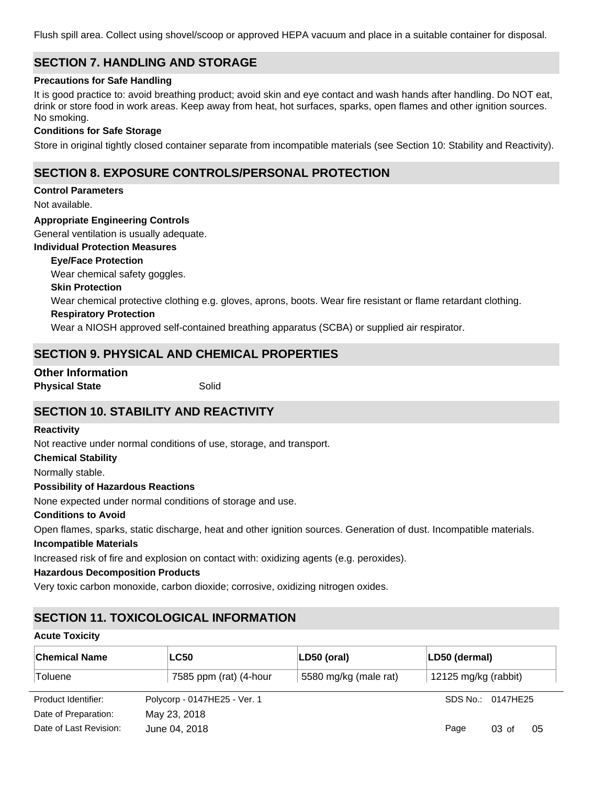Flush spill area. Collect using shovel/scoop or approved HEPA vacuum and place in a suitable container for disposal.

# **SECTION 7. HANDLING AND STORAGE**

#### **Precautions for Safe Handling**

It is good practice to: avoid breathing product; avoid skin and eye contact and wash hands after handling. Do NOT eat, drink or store food in work areas. Keep away from heat, hot surfaces, sparks, open flames and other ignition sources. No smoking.

#### **Conditions for Safe Storage**

Store in original tightly closed container separate from incompatible materials (see Section 10: Stability and Reactivity).

# **SECTION 8. EXPOSURE CONTROLS/PERSONAL PROTECTION**

### **Control Parameters**

Not available.

#### **Appropriate Engineering Controls**

General ventilation is usually adequate.

### **Individual Protection Measures**

#### **Eye/Face Protection**

Wear chemical safety goggles.

**Skin Protection**

Wear chemical protective clothing e.g. gloves, aprons, boots. Wear fire resistant or flame retardant clothing.

#### **Respiratory Protection**

Wear a NIOSH approved self-contained breathing apparatus (SCBA) or supplied air respirator.

# **SECTION 9. PHYSICAL AND CHEMICAL PROPERTIES**

**Physical State** Solid **Other Information**

# **SECTION 10. STABILITY AND REACTIVITY**

#### **Reactivity**

Not reactive under normal conditions of use, storage, and transport.

**Chemical Stability**

Normally stable.

#### **Possibility of Hazardous Reactions**

None expected under normal conditions of storage and use.

#### **Conditions to Avoid**

Open flames, sparks, static discharge, heat and other ignition sources. Generation of dust. Incompatible materials.

#### **Incompatible Materials**

Increased risk of fire and explosion on contact with: oxidizing agents (e.g. peroxides).

#### **Hazardous Decomposition Products**

Very toxic carbon monoxide, carbon dioxide; corrosive, oxidizing nitrogen oxides.

# **SECTION 11. TOXICOLOGICAL INFORMATION**

### **Acute Toxicity**

| ∣Chemical Name         | <b>LC50</b>                  | LD50 (oral)           | LD50 (dermal)                 |
|------------------------|------------------------------|-----------------------|-------------------------------|
| Toluene                | 7585 ppm (rat) (4-hour       | 5580 mg/kg (male rat) | 12125 mg/kg (rabbit)          |
| Product Identifier:    | Polycorp - 0147HE25 - Ver. 1 |                       | SDS No.: 0147HE25             |
| Date of Preparation:   | May 23, 2018                 |                       |                               |
| Date of Last Revision: | June 04, 2018                |                       | Page<br>03 <sub>o</sub><br>05 |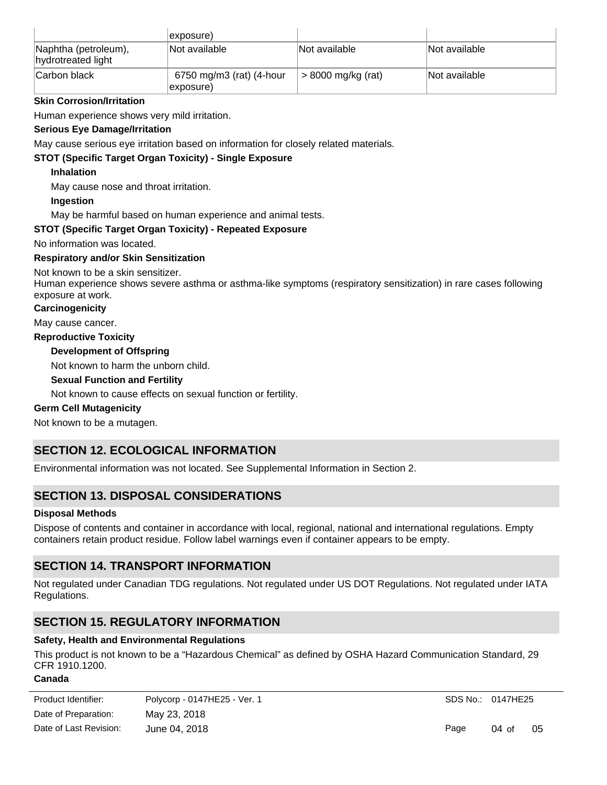|                                            | exposure)                             |                      |               |
|--------------------------------------------|---------------------------------------|----------------------|---------------|
| Naphtha (petroleum),<br>hydrotreated light | Not available                         | Not available        | Not available |
| Carbon black                               | 6750 mg/m3 (rat) (4-hour<br>exposure) | $> 8000$ mg/kg (rat) | Not available |

### **Skin Corrosion/Irritation**

Human experience shows very mild irritation.

### **Serious Eye Damage/Irritation**

May cause serious eye irritation based on information for closely related materials.

### **STOT (Specific Target Organ Toxicity) - Single Exposure**

### **Inhalation**

May cause nose and throat irritation.

#### **Ingestion**

May be harmful based on human experience and animal tests.

### **STOT (Specific Target Organ Toxicity) - Repeated Exposure**

No information was located.

### **Respiratory and/or Skin Sensitization**

Not known to be a skin sensitizer.

Human experience shows severe asthma or asthma-like symptoms (respiratory sensitization) in rare cases following exposure at work.

#### **Carcinogenicity**

May cause cancer.

#### **Reproductive Toxicity**

#### **Development of Offspring**

Not known to harm the unborn child.

#### **Sexual Function and Fertility**

Not known to cause effects on sexual function or fertility.

#### **Germ Cell Mutagenicity**

Not known to be a mutagen.

# **SECTION 12. ECOLOGICAL INFORMATION**

Environmental information was not located. See Supplemental Information in Section 2.

# **SECTION 13. DISPOSAL CONSIDERATIONS**

#### **Disposal Methods**

Dispose of contents and container in accordance with local, regional, national and international regulations. Empty containers retain product residue. Follow label warnings even if container appears to be empty.

# **SECTION 14. TRANSPORT INFORMATION**

Not regulated under Canadian TDG regulations. Not regulated under US DOT Regulations. Not regulated under IATA Regulations.

# **SECTION 15. REGULATORY INFORMATION**

#### **Safety, Health and Environmental Regulations**

This product is not known to be a "Hazardous Chemical" as defined by OSHA Hazard Communication Standard, 29 CFR 1910.1200.

#### **Canada**

| Product Identifier:    | Polycorp - 0147HE25 - Ver. 1 |
|------------------------|------------------------------|
| Date of Preparation:   | May 23, 2018                 |
| Date of Last Revision: | June 04, 2018                |

SDS No.: 0147HE25

Page 04 of 05